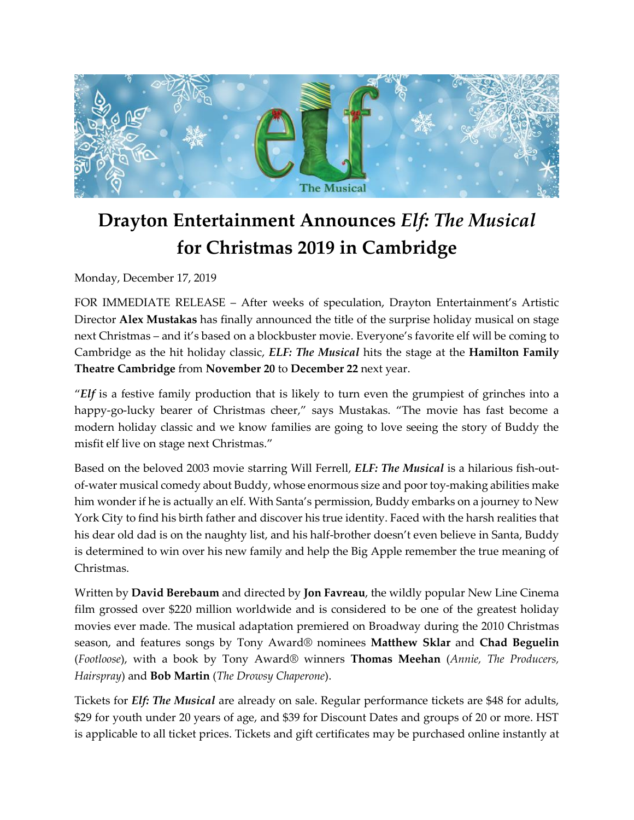

# **Drayton Entertainment Announces** *Elf: The Musical* **for Christmas 2019 in Cambridge**

Monday, December 17, 2019

FOR IMMEDIATE RELEASE – After weeks of speculation, Drayton Entertainment's Artistic Director **Alex Mustakas** has finally announced the title of the surprise holiday musical on stage next Christmas – and it's based on a blockbuster movie. Everyone's favorite elf will be coming to Cambridge as the hit holiday classic, *ELF: The Musical* hits the stage at the **Hamilton Family Theatre Cambridge** from **November 20** to **December 22** next year.

"*Elf* is a festive family production that is likely to turn even the grumpiest of grinches into a happy-go-lucky bearer of Christmas cheer," says Mustakas. "The movie has fast become a modern holiday classic and we know families are going to love seeing the story of Buddy the misfit elf live on stage next Christmas."

Based on the beloved 2003 movie starring Will Ferrell, *ELF: The Musical* is a hilarious fish-outof-water musical comedy about Buddy, whose enormous size and poor toy-making abilities make him wonder if he is actually an elf. With Santa's permission, Buddy embarks on a journey to New York City to find his birth father and discover his true identity. Faced with the harsh realities that his dear old dad is on the naughty list, and his half-brother doesn't even believe in Santa, Buddy is determined to win over his new family and help the Big Apple remember the true meaning of Christmas.

Written by **David Berebaum** and directed by **Jon Favreau**, the wildly popular New Line Cinema film grossed over \$220 million worldwide and is considered to be one of the greatest holiday movies ever made. The musical adaptation premiered on Broadway during the 2010 Christmas season, and features songs by Tony Award® nominees **Matthew Sklar** and **Chad Beguelin** (*Footloose*), with a book by Tony Award® winners **Thomas Meehan** (*Annie, The Producers, Hairspray*) and **Bob Martin** (*The Drowsy Chaperone*).

Tickets for *Elf: The Musical* are already on sale. Regular performance tickets are \$48 for adults, \$29 for youth under 20 years of age, and \$39 for Discount Dates and groups of 20 or more. HST is applicable to all ticket prices. Tickets and gift certificates may be purchased online instantly at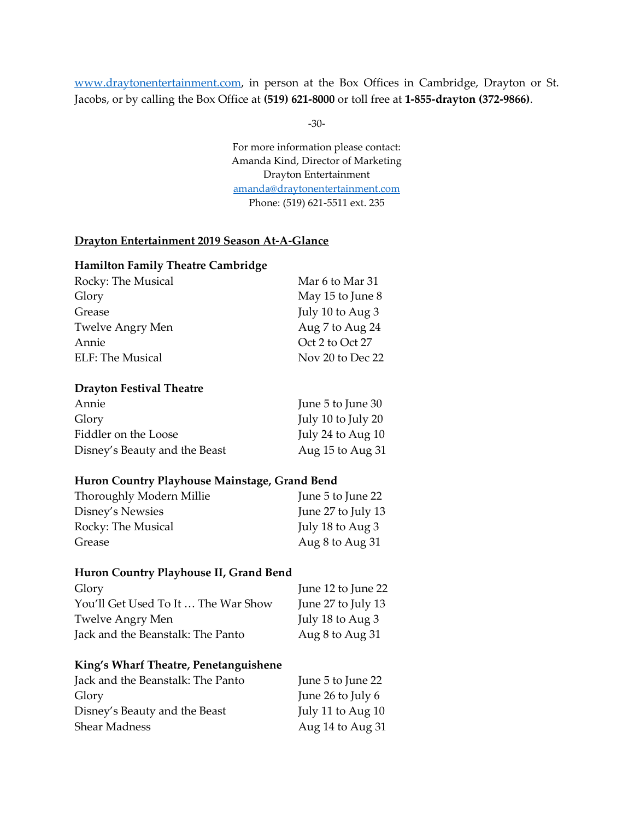[www.draytonentertainment.com,](http://www.draytonentertainment.com/) in person at the Box Offices in Cambridge, Drayton or St. Jacobs, or by calling the Box Office at **(519) 621-8000** or toll free at **1-855-drayton (372-9866)**.

-30-

For more information please contact: Amanda Kind, Director of Marketing Drayton Entertainment [amanda@draytonentertainment.com](mailto:amanda@draytonentertainment.com) Phone: (519) 621-5511 ext. 235

#### **Drayton Entertainment 2019 Season At‐A‐Glance**

#### **Hamilton Family Theatre Cambridge**

| Rocky: The Musical      | Mar 6 to Mar 31  |
|-------------------------|------------------|
| Glory                   | May 15 to June 8 |
| Grease                  | July 10 to Aug 3 |
| <b>Twelve Angry Men</b> | Aug 7 to Aug 24  |
| Annie                   | Oct 2 to Oct 27  |
| ELF: The Musical        | Nov 20 to Dec 22 |

#### **Drayton Festival Theatre**

| Annie                         | June 5 to June 30    |
|-------------------------------|----------------------|
| Glory                         | July 10 to July 20   |
| Fiddler on the Loose          | July 24 to Aug 10    |
| Disney's Beauty and the Beast | Aug $15$ to Aug $31$ |

#### **Huron Country Playhouse Mainstage, Grand Bend**

| Thoroughly Modern Millie | June 5 to June 22  |
|--------------------------|--------------------|
| Disney's Newsies         | June 27 to July 13 |
| Rocky: The Musical       | July 18 to Aug 3   |
| Grease                   | Aug 8 to Aug 31    |

#### **Huron Country Playhouse II, Grand Bend**

| Glory                               | June 12 to June 22 |
|-------------------------------------|--------------------|
| You'll Get Used To It  The War Show | June 27 to July 13 |
| Twelve Angry Men                    | July 18 to Aug 3   |
| Jack and the Beanstalk: The Panto   | Aug 8 to Aug 31    |

#### **King's Wharf Theatre, Penetanguishene**

| Jack and the Beanstalk: The Panto | June 5 to June 22 |
|-----------------------------------|-------------------|
| Glory                             | June 26 to July 6 |
| Disney's Beauty and the Beast     | July 11 to Aug 10 |
| <b>Shear Madness</b>              | Aug 14 to Aug 31  |